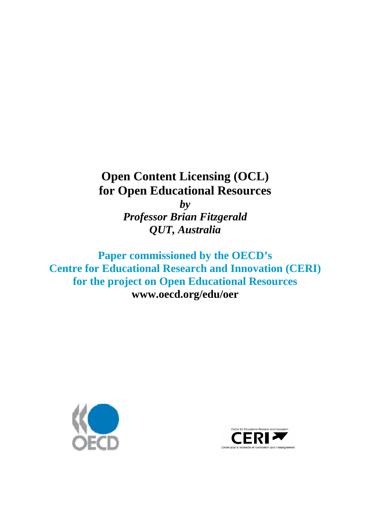# **Open Content Licensing (OCL) for Open Educational Resources**

*by Professor Brian Fitzgerald QUT, Australia* 

**Paper commissioned by the OECD's Centre for Educational Research and Innovation (CERI) for the project on Open Educational Resources [www.oecd.org/edu/oer](http://www.oecd.org/edu/oer)**



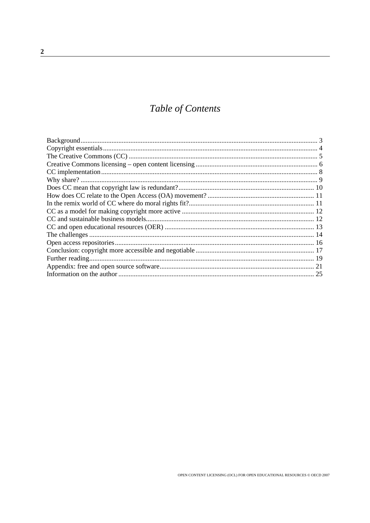## Table of Contents

| -25 |
|-----|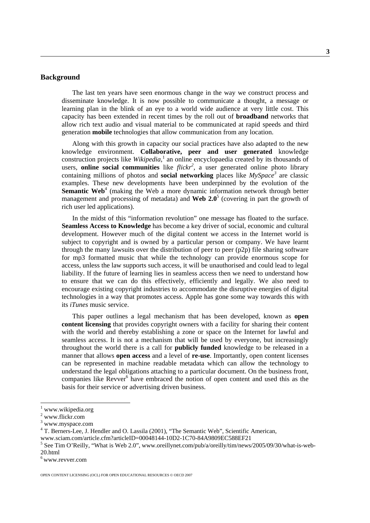#### <span id="page-2-0"></span>**Background**

The last ten years have seen enormous change in the way we construct process and disseminate knowledge. It is now possible to communicate a thought, a message or learning plan in the blink of an eye to a world wide audience at very little cost. This capacity has been extended in recent times by the roll out of **broadband** networks that allow rich text audio and visual material to be communicated at rapid speeds and third generation **mobile** technologies that allow communication from any location.

Along with this growth in capacity our social practices have also adapted to the new knowledge environment. **Collaborative, peer and user generated** knowledge construction projects like *Wikipedia*,<sup>[1](#page-2-1)</sup> an online encyclopaedia created by its thousands of users, **online social communities** like *flickr[2](#page-2-2)* , a user generated online photo library containing millions of photos and **social networking** places like  $MySpace^3$  $MySpace^3$  are classic examples. These new developments have been underpinned by the evolution of the **Semantic Web**<sup>[4](#page-2-4)</sup> (making the Web a more dynamic information network through better managementand processing of metadata) and **Web 2.0**<sup>5</sup> (covering in part the growth of rich user led applications).

In the midst of this "information revolution" one message has floated to the surface. **Seamless Access to Knowledge** has become a key driver of social, economic and cultural development. However much of the digital content we access in the Internet world is subject to copyright and is owned by a particular person or company. We have learnt through the many lawsuits over the distribution of peer to peer (p2p) file sharing software for mp3 formatted music that while the technology can provide enormous scope for access, unless the law supports such access, it will be unauthorised and could lead to legal liability. If the future of learning lies in seamless access then we need to understand how to ensure that we can do this effectively, efficiently and legally. We also need to encourage existing copyright industries to accommodate the disruptive energies of digital technologies in a way that promotes access. Apple has gone some way towards this with its *iTunes* music service.

This paper outlines a legal mechanism that has been developed, known as **open content licensing** that provides copyright owners with a facility for sharing their content with the world and thereby establishing a zone or space on the Internet for lawful and seamless access. It is not a mechanism that will be used by everyone, but increasingly throughout the world there is a call for **publicly funded** knowledge to be released in a manner that allows **open access** and a level of **re-use**. Importantly, open content licenses can be represented in machine readable metadata which can allow the technology to understand the legal obligations attaching to a particular document. On the business front, companies like Revver<sup>[6](#page-2-6)</sup> have embraced the notion of open content and used this as the basis for their service or advertising driven business.

<sup>|&</sup>lt;br>|<br>| www.wikipedia.org 2

<span id="page-2-2"></span><span id="page-2-1"></span> $2$  www.flickr.com

<span id="page-2-3"></span> $3$  www.myspace.com

<span id="page-2-4"></span><sup>&</sup>lt;sup>4</sup> T. Berners-Lee, J. Hendler and O. Lassila (2001), "The Semantic Web", Scientific American,

[www.sciam.com/article.cfm?articleID=00048144-10D2-1C70-84A9809EC588EF21](http://www.sciam.com/article.cfm?articleID=00048144-10D2-1C70-84A9809EC588EF21) <sup>5</sup>

<span id="page-2-5"></span><sup>&</sup>lt;sup>5</sup> See Tim O'Reilly, "What is Web 2.0", [www.oreillynet.com/pub/a/oreilly/tim/news/2005/09/30/what-is-web-](http://www.oreillynet.com/pub/a/oreilly/tim/news/2005/09/30/what-is-web-20.html) $20.html$ <br> $6$  www.revver.com

<span id="page-2-6"></span>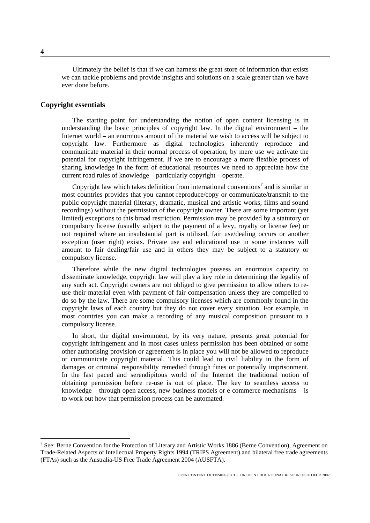<span id="page-3-0"></span>Ultimately the belief is that if we can harness the great store of information that exists we can tackle problems and provide insights and solutions on a scale greater than we have ever done before.

#### **Copyright essentials**

The starting point for understanding the notion of open content licensing is in understanding the basic principles of copyright law. In the digital environment – the Internet world – an enormous amount of the material we wish to access will be subject to copyright law. Furthermore as digital technologies inherently reproduce and communicate material in their normal process of operation; by mere use we activate the potential for copyright infringement. If we are to encourage a more flexible process of sharing knowledge in the form of educational resources we need to appreciate how the current road rules of knowledge – particularly copyright – operate.

Copyright law which takes definition from international conventions<sup>[7](#page-3-1)</sup> and is similar in most countries provides that you cannot reproduce/copy or communicate/transmit to the public copyright material (literary, dramatic, musical and artistic works, films and sound recordings) without the permission of the copyright owner. There are some important (yet limited) exceptions to this broad restriction. Permission may be provided by a statutory or compulsory license (usually subject to the payment of a levy, royalty or license fee) or not required where an insubstantial part is utilised, fair use/dealing occurs or another exception (user right) exists. Private use and educational use in some instances will amount to fair dealing/fair use and in others they may be subject to a statutory or compulsory license.

Therefore while the new digital technologies possess an enormous capacity to disseminate knowledge, copyright law will play a key role in determining the legality of any such act. Copyright owners are not obliged to give permission to allow others to reuse their material even with payment of fair compensation unless they are compelled to do so by the law. There are some compulsory licenses which are commonly found in the copyright laws of each country but they do not cover every situation. For example, in most countries you can make a recording of any musical composition pursuant to a compulsory license.

In short, the digital environment, by its very nature, presents great potential for copyright infringement and in most cases unless permission has been obtained or some other authorising provision or agreement is in place you will not be allowed to reproduce or communicate copyright material. This could lead to civil liability in the form of damages or criminal responsibility remedied through fines or potentially imprisonment. In the fast paced and serendipitous world of the Internet the traditional notion of obtaining permission before re-use is out of place. The key to seamless access to knowledge – through open access, new business models or e commerce mechanisms – is to work out how that permission process can be automated.

<span id="page-3-1"></span><sup>&</sup>lt;sup>-</sup> <sup>7</sup> See: Berne Convention for the Protection of Literary and Artistic Works 1886 (Berne Convention), Agreement on Trade-Related Aspects of Intellectual Property Rights 1994 (TRIPS Agreement) and bilateral free trade agreements (FTAs) such as the Australia-US Free Trade Agreement 2004 (AUSFTA).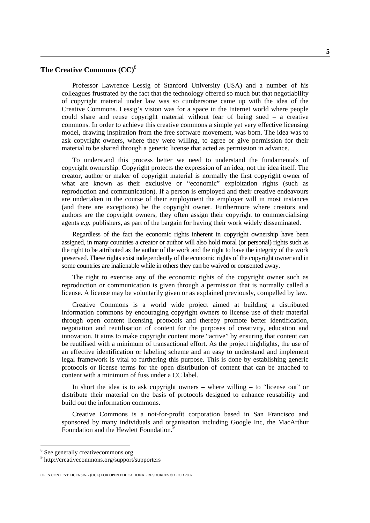#### <span id="page-4-0"></span>**The Creative Commons (CC)**[8](#page-4-1)

Professor Lawrence Lessig of Stanford University (USA) and a number of his colleagues frustrated by the fact that the technology offered so much but that negotiability of copyright material under law was so cumbersome came up with the idea of the Creative Commons. Lessig's vision was for a space in the Internet world where people could share and reuse copyright material without fear of being sued – a creative commons. In order to achieve this creative commons a simple yet very effective licensing model, drawing inspiration from the free software movement, was born. The idea was to ask copyright owners, where they were willing, to agree or give permission for their material to be shared through a generic license that acted as permission in advance.

To understand this process better we need to understand the fundamentals of copyright ownership. Copyright protects the expression of an idea, not the idea itself. The creator, author or maker of copyright material is normally the first copyright owner of what are known as their exclusive or "economic" exploitation rights (such as reproduction and communication). If a person is employed and their creative endeavours are undertaken in the course of their employment the employer will in most instances (and there are exceptions) be the copyright owner. Furthermore where creators and authors are the copyright owners, they often assign their copyright to commercialising agents *e.g.* publishers, as part of the bargain for having their work widely disseminated.

Regardless of the fact the economic rights inherent in copyright ownership have been assigned, in many countries a creator or author will also hold moral (or personal) rights such as the right to be attributed as the author of the work and the right to have the integrity of the work preserved. These rights exist independently of the economic rights of the copyright owner and in some countries are inalienable while in others they can be waived or consented away.

The right to exercise any of the economic rights of the copyright owner such as reproduction or communication is given through a permission that is normally called a license. A license may be voluntarily given or as explained previously, compelled by law.

Creative Commons is a world wide project aimed at building a distributed information commons by encouraging copyright owners to license use of their material through open content licensing protocols and thereby promote better identification, negotiation and reutilisation of content for the purposes of creativity, education and innovation. It aims to make copyright content more "active" by ensuring that content can be reutilised with a minimum of transactional effort. As the project highlights, the use of an effective identification or labeling scheme and an easy to understand and implement legal framework is vital to furthering this purpose. This is done by establishing generic protocols or license terms for the open distribution of content that can be attached to content with a minimum of fuss under a CC label.

In short the idea is to ask copyright owners – where willing – to "license out" or distribute their material on the basis of protocols designed to enhance reusability and build out the information commons.

Creative Commons is a not-for-profit corporation based in San Francisco and sponsored by many individuals and organisation including Google Inc, the MacArthur Foundation and the Hewlett Foundation.<sup>[9](#page-4-2)</sup>

 <sup>8</sup> <sup>8</sup> See generally creativecommons.org

<span id="page-4-2"></span><span id="page-4-1"></span><sup>&</sup>lt;sup>9</sup> http://creativecommons.org/support/supporters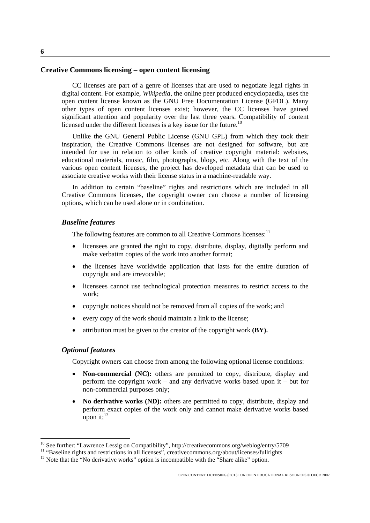#### <span id="page-5-0"></span>**Creative Commons licensing – open content licensing**

CC licenses are part of a genre of licenses that are used to negotiate legal rights in digital content. For example, *Wikipedia*, the online peer produced encyclopaedia, uses the open content license known as the GNU Free Documentation License (GFDL). Many other types of open content licenses exist; however, the CC licenses have gained significant attention and popularity over the last three years. Compatibility of content licensed under the different licenses is a key issue for the future.<sup>10</sup>

Unlike the GNU General Public License (GNU GPL) from which they took their inspiration, the Creative Commons licenses are not designed for software, but are intended for use in relation to other kinds of creative copyright material: websites, educational materials, music, film, photographs, blogs, etc. Along with the text of the various open content licenses, the project has developed metadata that can be used to associate creative works with their license status in a machine-readable way.

In addition to certain "baseline" rights and restrictions which are included in all Creative Commons licenses, the copyright owner can choose a number of licensing options, which can be used alone or in combination.

#### *Baseline features*

The following features are common to all Creative Commons licenses:<sup>[11](#page-5-2)</sup>

- licensees are granted the right to copy, distribute, display, digitally perform and make verbatim copies of the work into another format;
- the licenses have worldwide application that lasts for the entire duration of copyright and are irrevocable;
- licensees cannot use technological protection measures to restrict access to the work;
- copyright notices should not be removed from all copies of the work; and
- every copy of the work should maintain a link to the license;
- attribution must be given to the creator of the copyright work **(BY).**

#### *Optional features*

Copyright owners can choose from among the following optional license conditions:

- **Non-commercial (NC):** others are permitted to copy, distribute, display and perform the copyright work – and any derivative works based upon it – but for non-commercial purposes only;
- **No derivative works (ND):** others are permitted to copy, distribute, display and perform exact copies of the work only and cannot make derivative works based upon it; $^{12}$

<span id="page-5-1"></span><sup>&</sup>lt;sup>10</sup> See further: "Lawrence Lessig on Compatibility",<http://creativecommons.org/weblog/entry/5709><br><sup>11</sup> "Baseline rights and restrictions in all licenses", creativecommons.org/about/licenses/fullrights<br><sup>12</sup> Note that the

<span id="page-5-2"></span>

<span id="page-5-3"></span>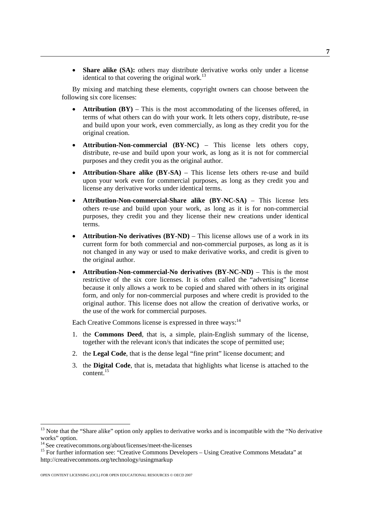• **Share alike (SA):** others may distribute derivative works only under a license identical to that covering the original work. $^{13}$ 

By mixing and matching these elements, copyright owners can choose between the following six core licenses:

- **Attribution (BY)** This is the most accommodating of the licenses offered, in terms of what others can do with your work. It lets others copy, distribute, re-use and build upon your work, even commercially, as long as they credit you for the original creation.
- **Attribution-Non-commercial (BY-NC)** This license lets others copy, distribute, re-use and build upon your work, as long as it is not for commercial purposes and they credit you as the original author.
- **Attribution-Share alike (BY-SA)** This license lets others re-use and build upon your work even for commercial purposes, as long as they credit you and license any derivative works under identical terms.
- **Attribution-Non-commercial-Share alike (BY-NC-SA)** This license lets others re-use and build upon your work, as long as it is for non-commercial purposes, they credit you and they license their new creations under identical terms.
- **Attribution-No derivatives (BY-ND)** This license allows use of a work in its current form for both commercial and non-commercial purposes, as long as it is not changed in any way or used to make derivative works, and credit is given to the original author.
- **Attribution-Non-commercial-No derivatives (BY-NC-ND)** This is the most restrictive of the six core licenses. It is often called the "advertising" license because it only allows a work to be copied and shared with others in its original form, and only for non-commercial purposes and where credit is provided to the original author. This license does not allow the creation of derivative works, or the use of the work for commercial purposes.

Each Creative Commons license is expressed in three ways:<sup>14</sup>

- 1. the **Commons Deed**, that is, a simple, plain-English summary of the license, together with the relevant icon/s that indicates the scope of permitted use;
- 2. the **Legal Code**, that is the dense legal "fine print" license document; and
- 3. the **Digital Code**, that is, metadata that highlights what license is attached to the content[.15](#page-6-2)

<span id="page-6-0"></span> $13$  Note that the "Share alike" option only applies to derivative works and is incompatible with the "No derivative works" option.

<span id="page-6-2"></span><span id="page-6-1"></span>

<sup>&</sup>lt;sup>14</sup> See creativecommons.org/about/licenses/meet-the-licenses<br><sup>15</sup> For further information see: "Creative Commons Developers – Using Creative Commons Metadata" at <http://creativecommons.org/technology/usingmarkup>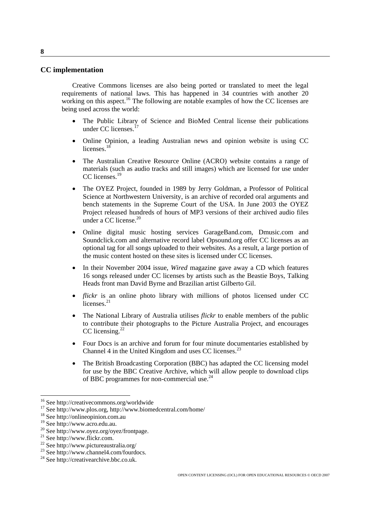#### <span id="page-7-0"></span>**CC implementation**

Creative Commons licenses are also being ported or translated to meet the legal requirements of national laws. This has happened in 34 countries with another 20 working on this aspect.<sup>16</sup> The following are notable examples of how the CC licenses are being used across the world:

- The Public Library of Science and BioMed Central license their publications under CC licenses.<sup>17</sup>
- Online Opinion, a leading Australian news and opinion website is using CC licenses.<sup>[18](#page-7-3)</sup>
- The Australian Creative Resource Online (ACRO) website contains a range of materials (such as audio tracks and still images) which are licensed for use under CC licenses.<sup>[19](#page-7-4)</sup>
- The OYEZ Project, founded in 1989 by Jerry Goldman, a Professor of Political Science at Northwestern University, is an archive of recorded oral arguments and bench statements in the Supreme Court of the USA. In June 2003 the OYEZ Project released hundreds of hours of MP3 versions of their archived audio files under a CC license.<sup>20</sup>
- Online digital music hosting services GarageBand.com, Dmusic.com and Soundclick.com and alternative record label Opsound.org offer CC licenses as an optional tag for all songs uploaded to their websites. As a result, a large portion of the music content hosted on these sites is licensed under CC licenses.
- In their November 2004 issue, *Wired* magazine gave away a CD which features 16 songs released under CC licenses by artists such as the Beastie Boys, Talking Heads front man David Byrne and Brazilian artist Gilberto Gil.
- *flickr* is an online photo library with millions of photos licensed under CC licenses.<sup>[21](#page-7-6)</sup>
- The National Library of Australia utilises *flickr* to enable members of the public to contribute their photographs to the Picture Australia Project, and encourages CC licensing.<sup>22</sup>
- Four Docs is an archive and forum for four minute documentaries established by Channel 4 in the United Kingdom and uses CC licenses. $^{23}$
- The British Broadcasting Corporation (BBC) has adapted the CC licensing model for use by the BBC Creative Archive, which will allow people to download clips of BBC programmes for non-commercial use.<sup>[24](#page-7-9)</sup>

<span id="page-7-2"></span><span id="page-7-1"></span>

<sup>&</sup>lt;sup>16</sup> See<http://creativecommons.org/worldwide><br>
<sup>17</sup> See [http://www.plos.org,](http://www.plos.org/) <http://www.biomedcentral.com/home/><br>
<sup>18</sup> See http://onlineopinion.com.au<br>
<sup>19</sup> See http://www.acro.edu.au.

<span id="page-7-3"></span>

<span id="page-7-4"></span>

<span id="page-7-5"></span><sup>&</sup>lt;sup>20</sup> See [http://www.oyez.org/oyez/frontpage.](http://www.oyez.org/oyez/frontpage)<br>
<sup>21</sup> See [http://www.flickr.com.](http://www.flickr.com/)<br>
<sup>22</sup>See<http://www.pictureaustralia.org/><br>
<sup>22</sup> See [http://www.channel4.com/fourdocs.](http://www.channel4.com/fourdocs)<br>
<sup>24</sup> See [http://creativearchive.bbc.co.uk.](http://creativearchive.bbc.co.uk/)

<span id="page-7-6"></span>

<span id="page-7-7"></span>

<span id="page-7-8"></span>

<span id="page-7-9"></span>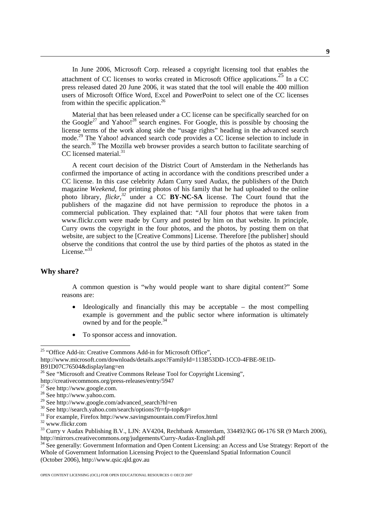<span id="page-8-0"></span>In June 2006, Microsoft Corp. released a copyright licensing tool that enables the attachment of CC licenses to works created in Microsoft Office applications.[25](#page-8-1) In a CC press released dated 20 June 2006, it was stated that the tool will enable the 400 million users of Microsoft Office Word, Excel and PowerPoint to select one of the CC licenses from within the specific application.<sup>26</sup>

Material that has been released under a CC license can be specifically searched for on the Google<sup>27</sup> and Yahoo!<sup>28</sup> search engines. For Google, this is possible by choosing the license terms of the work along side the "usage rights" heading in the advanced search mode.[29](#page-8-5) The Yahoo! advanced search code provides a CC license selection to include in the search.[30](#page-8-6) The Mozilla web browser provides a search button to facilitate searching of CC licensed material.<sup>31</sup>

A recent court decision of the District Court of Amsterdam in the Netherlands has confirmed the importance of acting in accordance with the conditions prescribed under a CC license. In this case celebrity Adam Curry sued Audax, the publishers of the Dutch magazine *Weekend,* for printing photos of his family that he had uploaded to the online photo library, *flickr,[32](#page-8-8)* under a CC **BY-NC-SA** license. The Court found that the publishers of the magazine did not have permission to reproduce the photos in a commercial publication. They explained that: "All four photos that were taken from www.flickr.com were made by Curry and posted by him on that website. In principle, Curry owns the copyright in the four photos, and the photos, by posting them on that website, are subject to the [Creative Commons] License. Therefore [the publisher] should observe the conditions that control the use by third parties of the photos as stated in the License."<sup>[33](#page-8-9)</sup>

#### **Why share?**

A common question is "why would people want to share digital content?" Some reasons are:

- Ideologically and financially this may be acceptable  $-$  the most compelling example is government and the public sector where information is ultimately owned by and for the people.<sup>34</sup>
- To sponsor access and innovation.

<span id="page-8-1"></span><sup>&</sup>lt;sup>25</sup> "Office Add-in: Creative Commons Add-in for Microsoft Office",

[http://www.microsoft.com/downloads/details.aspx?FamilyId=113B53DD-1CC0-4FBE-9E1D-](http://www.microsoft.com/downloads/details.aspx?FamilyId=113B53DD-1CC0-4FBE-9E1D-B91D07C76504&displaylang=en)[B91D07C76504&displaylang=en](http://www.microsoft.com/downloads/details.aspx?FamilyId=113B53DD-1CC0-4FBE-9E1D-B91D07C76504&displaylang=en)<br><sup>26</sup> See "Microsoft and Creative Commons Release Tool for Copyright Licensing",

<span id="page-8-2"></span>

<span id="page-8-3"></span>

<span id="page-8-4"></span>

<span id="page-8-5"></span>

<span id="page-8-6"></span>

<span id="page-8-7"></span>

<span id="page-8-9"></span><span id="page-8-8"></span>

http://creativecommons.org/press-releases/entry/5947<br>
<sup>27</sup> See [http://www.google.com](http://www.google.com/).<br>
<sup>28</sup> See [http://www.yahoo.com](http://www.yahoo.com/).<br>
<sup>29</sup> See [http://www.google.com/advanced\\_search?hl=en](http://www.google.com/advanced_search?hl=en)<br>
<sup>30</sup> See http://search.yahoo.com/search/options?f

<span id="page-8-10"></span> $34$  See generally: Government Information and Open Content Licensing: an Access and Use Strategy: Report of the Whole of Government Information Licensing Project to the Queensland Spatial Information Council (October 2006), [http://www.qsic.qld.gov.au](http://www.qsic.qld.gov.au/)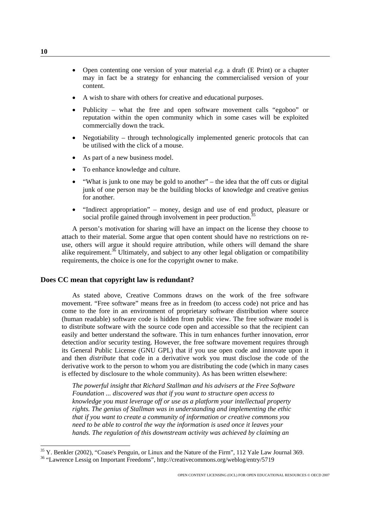- <span id="page-9-0"></span>• Open contenting one version of your material *e.g.* a draft (E Print) or a chapter may in fact be a strategy for enhancing the commercialised version of your content.
- A wish to share with others for creative and educational purposes.
- Publicity what the free and open software movement calls "egoboo" or reputation within the open community which in some cases will be exploited commercially down the track.
- Negotiability through technologically implemented generic protocols that can be utilised with the click of a mouse.
- As part of a new business model.
- To enhance knowledge and culture.
- "What is junk to one may be gold to another" the idea that the off cuts or digital junk of one person may be the building blocks of knowledge and creative genius for another.
- "Indirect appropriation" money, design and use of end product, pleasure or social profile gained through involvement in peer production.<sup>3</sup>

A person's motivation for sharing will have an impact on the license they choose to attach to their material. Some argue that open content should have no restrictions on reuse, others will argue it should require attribution, while others will demand the share alike requirement. $3\overline{6}$  Ultimately, and subject to any other legal obligation or compatibility requirements, the choice is one for the copyright owner to make.

#### **Does CC mean that copyright law is redundant?**

As stated above, Creative Commons draws on the work of the free software movement. "Free software" means free as in freedom (to access code) not price and has come to the fore in an environment of proprietary software distribution where source (human readable) software code is hidden from public view. The free software model is to distribute software with the source code open and accessible so that the recipient can easily and better understand the software. This in turn enhances further innovation, error detection and/or security testing. However, the free software movement requires through its General Public License (GNU GPL) that if you use open code and innovate upon it and then *distribute* that code in a derivative work you must disclose the code of the derivative work to the person to whom you are distributing the code (which in many cases is effected by disclosure to the whole community). As has been written elsewhere:

*The powerful insight that Richard Stallman and his advisers at the Free Software Foundation ... discovered was that if you want to structure open access to knowledge you must leverage off or use as a platform your intellectual property rights. The genius of Stallman was in understanding and implementing the ethic that if you want to create a community of information or creative commons you need to be able to control the way the information is used once it leaves your hands. The regulation of this downstream activity was achieved by claiming an* 

<span id="page-9-1"></span><sup>&</sup>lt;sup>35</sup> Y. Benkler (2002), "Coase's Penguin, or Linux and the Nature of the Firm", 112 Yale Law Journal 369.<br><sup>36</sup> "Lawrence Lessig on Important Freedoms",<http://creativecommons.org/weblog/entry/5719>

<span id="page-9-2"></span>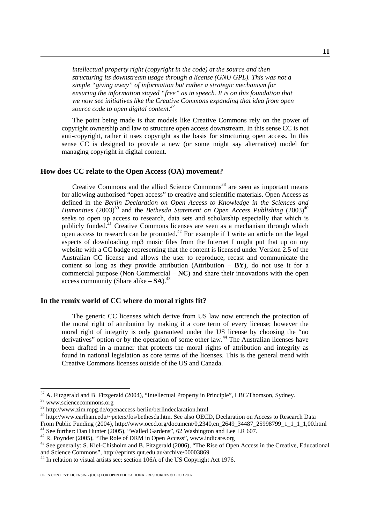<span id="page-10-0"></span>*intellectual property right (copyright in the code) at the source and then structuring its downstream usage through a license (GNU GPL). This was not a simple "giving away" of information but rather a strategic mechanism for ensuring the information stayed "free" as in speech. It is on this foundation that we now see initiatives like the Creative Commons expanding that idea from open source code to open digital content.[37](#page-10-1)* 

The point being made is that models like Creative Commons rely on the power of copyright ownership and law to structure open access downstream. In this sense CC is not anti-copyright, rather it uses copyright as the basis for structuring open access. In this sense CC is designed to provide a new (or some might say alternative) model for managing copyright in digital content.

#### **How does CC relate to the Open Access (OA) movement?**

Creative Commons and the allied Science Commons<sup>38</sup> are seen as important means for allowing authorised "open access" to creative and scientific materials. Open Access as defined in the *Berlin Declaration on Open Access to Knowledge in the Sciences and Humanities*  $(2003)^{39}$  and the *Bethesda Statement on Open Access Publishing*  $(2003)^{40}$ seeks to open up access to research, data sets and scholarship especially that which is publicly funded.<sup>41</sup> Creative Commons licenses are seen as a mechanism through which open access to research can be promoted.<sup>42</sup> For example if I write an article on the legal aspects of downloading mp3 music files from the Internet I might put that up on my website with a CC badge representing that the content is licensed under Version 2.5 of the Australian CC license and allows the user to reproduce, recast and communicate the content so long as they provide attribution (Attribution  $- BY$ ), do not use it for a commercial purpose (Non Commercial – **NC**) and share their innovations with the open access community (Share alike  $-$  **SA**).<sup>43</sup>

#### **In the remix world of CC where do moral rights fit?**

The generic CC licenses which derive from US law now entrench the protection of the moral right of attribution by making it a core term of every license; however the moral right of integrity is only guaranteed under the US license by choosing the "no derivatives" option or by the operation of some other law.<sup>44</sup> The Australian licenses have been drafted in a manner that protects the moral rights of attribution and integrity as found in national legislation as core terms of the licenses. This is the general trend with Creative Commons licenses outside of the US and Canada.

<span id="page-10-1"></span><sup>&</sup>lt;sup>37</sup> A. Fitzgerald and B. Fitzgerald (2004), "Intellectual Property in Principle", LBC/Thomson, Sydney.<br><sup>38</sup> www.sciencecommons.org<br><sup>39</sup> http://www.zim.mpg.de/openaccess-berlin/berlindeclaration.html

<span id="page-10-2"></span>

<span id="page-10-3"></span>

<span id="page-10-4"></span><sup>&</sup>lt;sup>40</sup> <http://www.earlham.edu/~peters/fos/bethesda.htm>. See also OECD, Declaration on Access to Research Data From Public Funding (2004), http://www.oecd.org/document/0,2340,en\_2649\_34487\_25998799\_1\_1\_1\_1,00.html<br>
<sup>41</sup> See further: Dan Hunter (2005), "Walled Gardens", 62 W[ashington and Lee](http://www.indicare.org/) LR 607.<br>
<sup>42</sup> R. Poynder (2005), "The Ro

<span id="page-10-6"></span><span id="page-10-5"></span>

<span id="page-10-7"></span>

<span id="page-10-8"></span> $44$  In relation to visual artists see: section 106A of the US Copyright Act 1976.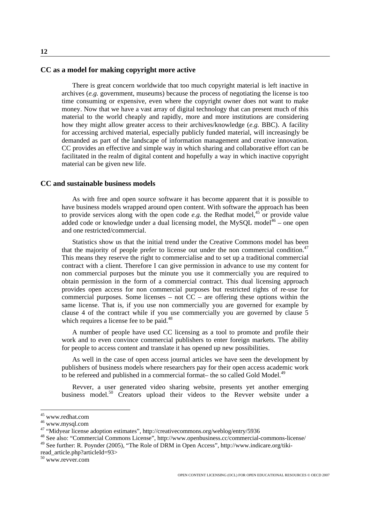#### <span id="page-11-0"></span>**CC as a model for making copyright more active**

There is great concern worldwide that too much copyright material is left inactive in archives (*e.g.* government, museums) because the process of negotiating the license is too time consuming or expensive, even where the copyright owner does not want to make money. Now that we have a vast array of digital technology that can present much of this material to the world cheaply and rapidly, more and more institutions are considering how they might allow greater access to their archives/knowledge (*e.g.* BBC). A facility for accessing archived material, especially publicly funded material, will increasingly be demanded as part of the landscape of information management and creative innovation. CC provides an effective and simple way in which sharing and collaborative effort can be facilitated in the realm of digital content and hopefully a way in which inactive copyright material can be given new life.

#### **CC and sustainable business models**

As with free and open source software it has become apparent that it is possible to have business models wrapped around open content. With software the approach has been to provide services along with the open code *e.g.* the Redhat model,<sup>45</sup> or provide value added code or knowledge under a dual licensing model, the MySQL model $46$  – one open and one restricted/commercial.

Statistics show us that the initial trend under the Creative Commons model has been that the majority of people prefer to license out under the non commercial condition.<sup>[47](#page-11-3)</sup> This means they reserve the right to commercialise and to set up a traditional commercial contract with a client. Therefore I can give permission in advance to use my content for non commercial purposes but the minute you use it commercially you are required to obtain permission in the form of a commercial contract. This dual licensing approach provides open access for non commercial purposes but restricted rights of re-use for commercial purposes. Some licenses – not  $CC$  – are offering these options within the same license. That is, if you use non commercially you are governed for example by clause 4 of the contract while if you use commercially you are governed by clause 5 which requires a license fee to be paid.<sup>48</sup>

A number of people have used CC licensing as a tool to promote and profile their work and to even convince commercial publishers to enter foreign markets. The ability for people to access content and translate it has opened up new possibilities.

As well in the case of open access journal articles we have seen the development by publishers of business models where researchers pay for their open access academic work to be refereed and published in a commercial format– the so called Gold Model.<sup>49</sup>

Revver, a user generated video sharing website, presents yet another emerging business model.<sup>50</sup> Creators upload their videos to the Revver website under a

<span id="page-11-1"></span>

<span id="page-11-2"></span>

<span id="page-11-4"></span><span id="page-11-3"></span>

<sup>&</sup>lt;sup>45</sup> www.redhat.com<br><sup>46</sup> www.mysql.com<br><sup>47</sup> "Midyear license adoption estimates", http://creativecommons.org/weblog/entry/5936<br><sup>48</sup> See also: "Commercial Commons License", http://www.openbusiness.cc/commercial-commons-lice

<span id="page-11-5"></span><sup>49</sup> See further: R. Poynder (2005), "The Role of DRM in Open Access", http://www.indicare.org/tikiread\_article.php?articleId=93> 50 www.revver.com

<span id="page-11-6"></span>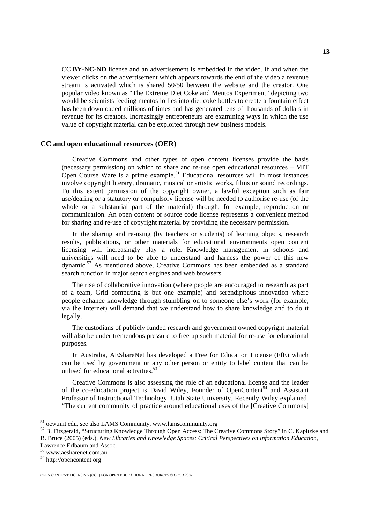<span id="page-12-0"></span>CC **BY-NC-ND** license and an advertisement is embedded in the video. If and when the viewer clicks on the advertisement which appears towards the end of the video a revenue stream is activated which is shared 50/50 between the website and the creator. One popular video known as "The Extreme Diet Coke and Mentos Experiment" depicting two would be scientists feeding mentos lollies into diet coke bottles to create a fountain effect has been downloaded millions of times and has generated tens of thousands of dollars in revenue for its creators. Increasingly entrepreneurs are examining ways in which the use value of copyright material can be exploited through new business models.

#### **CC and open educational resources (OER)**

Creative Commons and other types of open content licenses provide the basis (necessary permission) on which to share and re-use open educational resources – MIT Open Course Ware is a prime example.<sup>51</sup> Educational resources will in most instances involve copyright literary, dramatic, musical or artistic works, films or sound recordings. To this extent permission of the copyright owner, a lawful exception such as fair use/dealing or a statutory or compulsory license will be needed to authorise re-use (of the whole or a substantial part of the material) through, for example, reproduction or communication. An open content or source code license represents a convenient method for sharing and re-use of copyright material by providing the necessary permission.

In the sharing and re-using (by teachers or students) of learning objects, research results, publications, or other materials for educational environments open content licensing will increasingly play a role. Knowledge management in schools and universities will need to be able to understand and harness the power of this new dynamic.[52](#page-12-2) As mentioned above, Creative Commons has been embedded as a standard search function in major search engines and web browsers.

The rise of collaborative innovation (where people are encouraged to research as part of a team, Grid computing is but one example) and serendipitous innovation where people enhance knowledge through stumbling on to someone else's work (for example, via the Internet) will demand that we understand how to share knowledge and to do it legally.

The custodians of publicly funded research and government owned copyright material will also be under tremendous pressure to free up such material for re-use for educational purposes.

In Australia, AEShareNet has developed a Free for Education License (FfE) which can be used by government or any other person or entity to label content that can be utilised for educational activities.<sup>53</sup>

Creative Commons is also assessing the role of an educational license and the leader of the cc-education project is David Wiley, Founder of [OpenContent](http://opencontent.org/)<sup>54</sup> and Assistant Professor of Instructional Technology, [Utah State University](http://www.usu.edu/). Recently Wiley explained, "The current community of practice around educational uses of the [Creative Commons]

<span id="page-12-2"></span><span id="page-12-1"></span>

<sup>&</sup>lt;sup>51</sup> [ocw.mit.edu,](http://ocw.mit.edu/) see also LAMS Community, [www.lamscommunity.org](http://www.lamscommunity.org/)<br><sup>52</sup> B. Fitzgerald, "Structuring Knowledge Through Open Access: The Creative Commons Story" in C. Kapitzke and B. Bruce (2005) (eds.), *New Libraries and Knowledge Spaces: Critical Perspectives on Information Education*,

<span id="page-12-3"></span> $^{53}$  www.aesharenet.com.au  $^{54}$  [http://opencontent.org](http://opencontent.org/)

<span id="page-12-4"></span>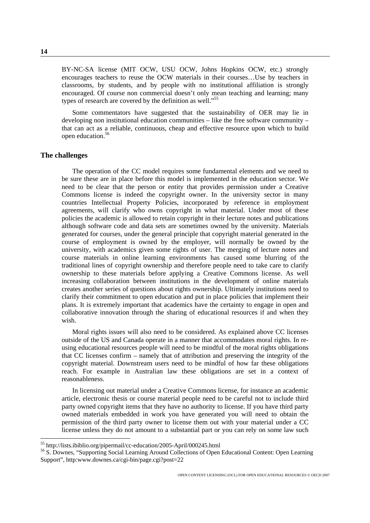<span id="page-13-0"></span>BY-NC-SA license (MIT OCW, USU OCW, Johns Hopkins OCW, etc.) strongly encourages teachers to reuse the OCW materials in their courses…Use by teachers in classrooms, by students, and by people with no institutional affiliation is strongly encouraged. Of course non commercial doesn't only mean teaching and learning; many types of research are covered by the definition as well."<sup>55</sup>

Some commentators have suggested that the sustainability of OER may lie in developing non institutional education communities – like the free software community – that can act as a reliable, continuous, cheap and effective resource upon which to build open education[.56](#page-13-2)

#### **The challenges**

The operation of the CC model requires some fundamental elements and we need to be sure these are in place before this model is implemented in the education sector. We need to be clear that the person or entity that provides permission under a Creative Commons license is indeed the copyright owner. In the university sector in many countries Intellectual Property Policies, incorporated by reference in employment agreements, will clarify who owns copyright in what material. Under most of these policies the academic is allowed to retain copyright in their lecture notes and publications although software code and data sets are sometimes owned by the university. Materials generated for courses, under the general principle that copyright material generated in the course of employment is owned by the employer, will normally be owned by the university, with academics given some rights of user. The merging of lecture notes and course materials in online learning environments has caused some blurring of the traditional lines of copyright ownership and therefore people need to take care to clarify ownership to these materials before applying a Creative Commons license. As well increasing collaboration between institutions in the development of online materials creates another series of questions about rights ownership. Ultimately institutions need to clarify their commitment to open education and put in place policies that implement their plans. It is extremely important that academics have the certainty to engage in open and collaborative innovation through the sharing of educational resources if and when they wish.

Moral rights issues will also need to be considered. As explained above CC licenses outside of the US and Canada operate in a manner that accommodates moral rights. In reusing educational resources people will need to be mindful of the moral rights obligations that CC licenses confirm – namely that of attribution and preserving the integrity of the copyright material. Downstream users need to be mindful of how far these obligations reach. For example in Australian law these obligations are set in a context of reasonableness.

In licensing out material under a Creative Commons license, for instance an academic article, electronic thesis or course material people need to be careful not to include third party owned copyright items that they have no authority to license. If you have third party owned materials embedded in work you have generated you will need to obtain the permission of the third party owner to license them out with your material under a CC license unless they do not amount to a substantial part or you can rely on some law such

<span id="page-13-2"></span><span id="page-13-1"></span>

<sup>&</sup>lt;sup>55</sup> <http://lists.ibiblio.org/pipermail/cc-education/2005-April/000245.html><br><sup>56</sup> S. Downes, "Supporting Social Learning Around Collections of Open Educational Content: Open Learning Support", http:www.downes.ca/cgi-bin/page.cgi?post=22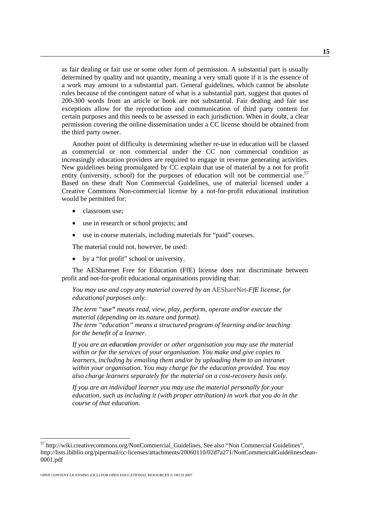as fair dealing or fair use or some other form of permission. A substantial part is usually determined by quality and not quantity, meaning a very small quote if it is the essence of a work may amount to a substantial part. General guidelines, which cannot be absolute rules because of the contingent nature of what is a substantial part, suggest that quotes of 200-300 words from an article or book are not substantial. Fair dealing and fair use exceptions allow for the reproduction and communication of third party content for certain purposes and this needs to be assessed in each jurisdiction. When in doubt, a clear permission covering the online dissemination under a CC license should be obtained from the third party owner.

Another point of difficulty is determining whether re-use in education will be classed as commercial or non commercial under the CC non commercial condition as increasingly education providers are required to engage in revenue generating activities. New guidelines being promulgated by CC explain that use of material by a not for profit entity (university, school) for the purposes of education will not be commercial use.<sup>57</sup> Based on these draft Non Commercial Guidelines, use of material licensed under a Creative Commons Non-commercial license by a not-for-profit educational institution would be permitted for:

- classroom use;
- use in research or school projects; and
- use in course materials, including materials for "paid" courses.

The material could not, however, be used:

by a "for profit" school or university.

The AESharenet Free for Education (FfE) license does not discriminate between profit and not-for-profit educational organisations providing that:

*You may use and copy any material covered by an* AEShareNet*-FfE license, for educational purposes only.* 

*The term "use" means read, view, play, perform, operate and/or execute the material (depending on its nature and format). The term "education" means a structured program of learning and/or teaching for the benefit of a learner.* 

*If you are an education provider or other organisation you may use the material within or for the services of your organisation. You make and give copies to learners, including by emailing them and/or by uploading them to an intranet within your organisation. You may charge for the education provided. You may also charge learners separately for the material on a cost-recovery basis only.* 

*If you are an individual learner you may use the material personally for your education, such as including it (with proper attribution) in work that you do in the course of that education.* 

<span id="page-14-0"></span> <sup>57</sup> [http://wiki.creativecommons.org/NonCommercial\\_Guidelines](http://wiki.creativecommons.org/NonCommercial_Guidelines), See also "Non Commercial Guidelines", [http://lists.ibiblio.org/pipermail/cc-licenses/attachments/20060110/02d7a271/NonCommercialGuidelinesclean-](http://lists.ibiblio.org/pipermail/cc-licenses/attachments/20060110/02d7a271/NonCommercialGuidelinesclean-0001.pdf)[0001.pdf](http://lists.ibiblio.org/pipermail/cc-licenses/attachments/20060110/02d7a271/NonCommercialGuidelinesclean-0001.pdf)

OPEN CONTENT LICENSING (OCL) FOR OPEN EDUCATIONAL RESOURCES © OECD 2007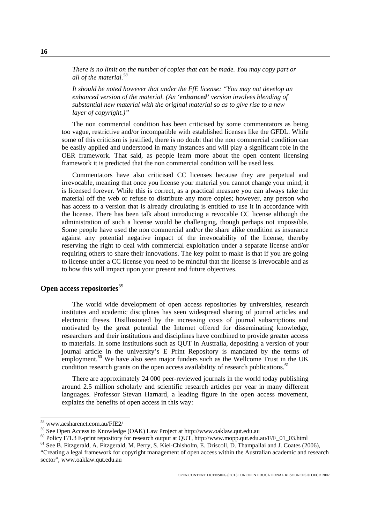<span id="page-15-0"></span>*There is no limit on the number of copies that can be made. You may copy part or all of the material.[58](#page-15-1)*

*It should be noted however that under the FfE license: "You may not develop an enhanced version of the material. (An 'enhanced' version involves blending of substantial new material with the original material so as to give rise to a new layer of copyright.)"* 

The non commercial condition has been criticised by some commentators as being too vague, restrictive and/or incompatible with established licenses like the GFDL. While some of this criticism is justified, there is no doubt that the non commercial condition can be easily applied and understood in many instances and will play a significant role in the OER framework. That said, as people learn more about the open content licensing framework it is predicted that the non commercial condition will be used less.

Commentators have also criticised CC licenses because they are perpetual and irrevocable, meaning that once you license your material you cannot change your mind; it is licensed forever. While this is correct, as a practical measure you can always take the material off the web or refuse to distribute any more copies; however, any person who has access to a version that is already circulating is entitled to use it in accordance with the license. There has been talk about introducing a revocable CC license although the administration of such a license would be challenging, though perhaps not impossible. Some people have used the non commercial and/or the share alike condition as insurance against any potential negative impact of the irrevocability of the license, thereby reserving the right to deal with commercial exploitation under a separate license and/or requiring others to share their innovations. The key point to make is that if you are going to license under a CC license you need to be mindful that the license is irrevocable and as to how this will impact upon your present and future objectives.

#### **Open access repositories**<sup>[59](#page-15-2)</sup>

The world wide development of open access repositories by universities, research institutes and academic disciplines has seen widespread sharing of journal articles and electronic theses. Disillusioned by the increasing costs of journal subscriptions and motivated by the great potential the Internet offered for disseminating knowledge, researchers and their institutions and disciplines have combined to provide greater access to materials. In some institutions such as QUT in Australia, depositing a version of your journal article in the university's E Print Repository is mandated by the terms of employment.<sup>60</sup> We have also seen major funders such as the Wellcome Trust in the UK condition research grants on the open access availability of research publications.<sup>61</sup>

There are approximately 24 000 peer-reviewed journals in the world today publishing around 2.5 million scholarly and scientific research articles per year in many different languages. Professor Stevan Harnard, a leading figure in the open access movement, explains the benefits of open access in this way:

<span id="page-15-2"></span><span id="page-15-1"></span>

<sup>&</sup>lt;sup>58</sup> www.aesharenet.com.au/FfE2/<br><sup>59</sup> See Open Access to Knowledge (OAK) Law Project at http://www.oaklaw.qut.edu.au

<span id="page-15-3"></span><sup>&</sup>lt;sup>60</sup> Policy F/1.3 E-print repository for research output at QUT, [http://www.mopp.qut.edu.au/F/F\\_01\\_03.html](http://www.mopp.qut.edu.au/F/F_01_03.html) <sup>61</sup> See B. Fitzgerald, A. Fitzgerald, M. Perry, S. Kiel-Chisholm, E. Driscoll, D. Thampallai and J. Coates (2006)

<span id="page-15-4"></span><sup>&</sup>quot;Creating a legal framework for copyright management of open access within the Australian academic and research sector", www.oaklaw.qut.edu.au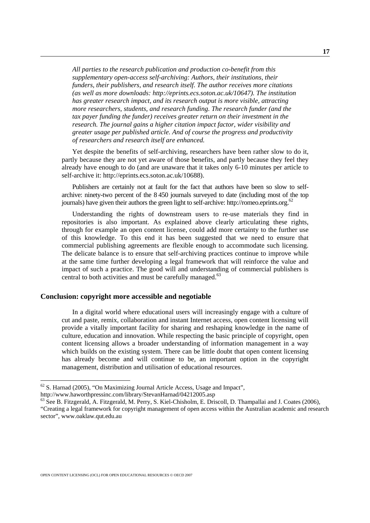<span id="page-16-0"></span>*All parties to the research publication and production co-benefit from this supplementary open-access self-archiving: Authors, their institutions, their funders, their publishers, and research itself. The author receives more citations (as well as more downloads: [http://eprints.ecs.soton.ac.uk/10647](http://eprints.ecs.soton.ac.uk/10647/)). The institution has greater research impact, and its research output is more visible, attracting more researchers, students, and research funding. The research funder (and the tax payer funding the funder) receives greater return on their investment in the research. The journal gains a higher citation impact factor, wider visibility and greater usage per published article. And of course the progress and productivity of researchers and research itself are enhanced.* 

Yet despite the benefits of self-archiving, researchers have been rather slow to do it, partly because they are not yet aware of those benefits, and partly because they feel they already have enough to do (and are unaware that it takes only 6-10 minutes per article to self-archive it: [http://eprints.ecs.soton.ac.uk/10688](http://eprints.ecs.soton.ac.uk/10688/)).

Publishers are certainly not at fault for the fact that authors have been so slow to selfarchive: ninety-two percent of the 8 450 journals surveyed to date (including most of the top journals) have given their authors the green light to self-archive: [http://romeo.eprints.org](http://romeo.eprints.org/). [62](#page-16-1)

Understanding the rights of downstream users to re-use materials they find in repositories is also important. As explained above clearly articulating these rights, through for example an open content license, could add more certainty to the further use of this knowledge. To this end it has been suggested that we need to ensure that commercial publishing agreements are flexible enough to accommodate such licensing. The delicate balance is to ensure that self-archiving practices continue to improve while at the same time further developing a legal framework that will reinforce the value and impact of such a practice. The good will and understanding of commercial publishers is central to both activities and must be carefully managed.<sup>63</sup>

#### **Conclusion: copyright more accessible and negotiable**

In a digital world where educational users will increasingly engage with a culture of cut and paste, remix, collaboration and instant Internet access, open content licensing will provide a vitally important facility for sharing and reshaping knowledge in the name of culture, education and innovation. While respecting the basic principle of copyright, open content licensing allows a broader understanding of information management in a way which builds on the existing system. There can be little doubt that open content licensing has already become and will continue to be, an important option in the copyright management, distribution and utilisation of educational resources.

<span id="page-16-1"></span> $62$  S. Harnad (2005), "On Maximizing Journal Article Access, Usage and Impact", http://www.haworthpressinc.com/library/StevanHarnad/04212005.asp

<span id="page-16-2"></span> $63$  See B. Fitzgerald, A. Fitzgerald, M. Perry, S. Kiel-Chisholm, E. Driscoll, D. Thampallai and J. Coates (2006), "Creating a legal framework for copyright management of open access within the Australian academic and research sector", www.oaklaw.qut.edu.au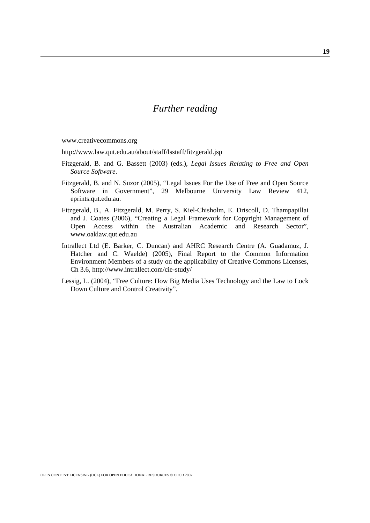## *Further reading*

[www.creativecommons.org](http://www.creativecommons.org/)

http://www.law.qut.edu.au/about/staff/lsstaff/fitzgerald.jsp

- [Fitzgerald, B. and G. Bassett \(2003\) \(eds.\),](http://www.law.qut.edu.au/files/open_source_book.pdf) *Legal Issues Relating to Free and Open [Source Software](http://www.law.qut.edu.au/files/open_source_book.pdf)*.
- Fitzgerald, B. and N. Suzor (2005), "Legal Issues For the Use of Free and Open Source Software in Government", 29 Melbourne University Law Review 412, eprints.qut.edu.au.
- Fitzgerald, B., A. Fitzgerald, M. Perry, S. Kiel-Chisholm, E. Driscoll, D. Thampapillai and J. Coates (2006), "Creating a Legal Framework for Copyright Management of Open Access within the Australian Academic and Research Sector", [www.oaklaw.qut.edu.au](http://www.oaklaw.qut.edu.au/)
- Intrallect Ltd (E. Barker, C. Duncan) and AHRC Research Centre (A. Guadamuz, J. Hatcher and C. Waelde) (2005), Final Report to the Common Information Environment Members of a study on the applicability of Creative Commons Licenses, Ch 3.6,<http://www.intrallect.com/cie-study/>
- Lessig, L. (2004), "Free Culture: How Big Media Uses Technology and the Law to Lock Down Culture and Control Creativity".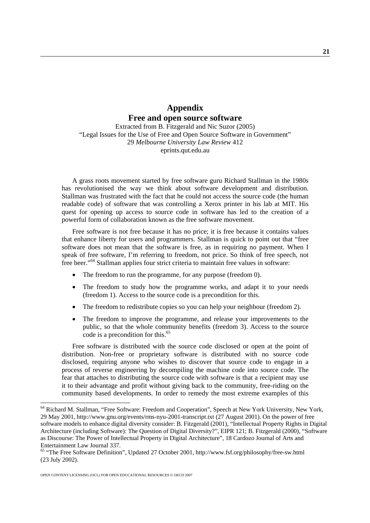### **Appendix Free and open source software**

Extracted from B. Fitzgerald and Nic Suzor (2005) "Legal Issues for the Use of Free and Open Source Software in Government" 29 *Melbourne University Law Review* 412 eprints.qut.edu.au

A grass roots movement started by free software guru Richard Stallman in the 1980s has revolutionised the way we think about software development and distribution. Stallman was frustrated with the fact that he could not access the source code (the human readable code) of software that was controlling a Xerox printer in his lab at MIT. His quest for opening up access to source code in software has led to the creation of a powerful form of collaboration known as the free software movement.

Free software is not free because it has no price; it is free because it contains values that enhance liberty for users and programmers. Stallman is quick to point out that "free software does not mean that the software is free, as in requiring no payment. When I speak of free software, I'm referring to freedom, not price. So think of free speech, not free beer."<sup>64</sup> Stallman applies four strict criteria to maintain free values in software:

- The freedom to run the programme, for any purpose (freedom 0).
- The freedom to study how the programme works, and adapt it to your needs (freedom 1). Access to the source code is a precondition for this.
- The freedom to redistribute copies so you can help your neighbour (freedom 2).
- The freedom to improve the programme, and release your improvements to the public, so that the whole community benefits (freedom 3). Access to the source code is a precondition for this.<sup>[65](#page-20-1)</sup>

Free software is distributed with the source code disclosed or open at the point of distribution. Non-free or proprietary software is distributed with no source code disclosed, requiring anyone who wishes to discover that source code to engage in a process of reverse engineering by decompiling the machine code into source code. The fear that attaches to distributing the source code with software is that a recipient may use it to their advantage and profit without giving back to the community, free-riding on the community based developments. In order to remedy the most extreme examples of this

<span id="page-20-0"></span> <sup>64</sup> Richard M. Stallman, "Free Software: Freedom and Cooperation", Speech at New York University, New York, 29 May 2001, http://www.gnu.org/events/rms-nyu-2001-transcript.txt (27 August 2001). On the power of free software models to enhance digital diversity consider: B. Fitzgerald (2001), "Intellectual Property Rights in Digital Architecture (including Software): The Question of Digital Diversity?", EIPR 121; B. Fitzgerald (2000), "Software as Discourse: The Power of Intellectual Property in Digital Architecture", 18 Cardozo Journal of Arts and Entertainment Law Journal 337.<br><sup>65</sup> "The Free Software Definition", Updated 27 October 2001, http://www.fsf.org/philosophy/free-sw.html

<span id="page-20-1"></span>[<sup>\(23</sup>](http://www.fsf.org/philosophy/free-sw.html (23) July 2002).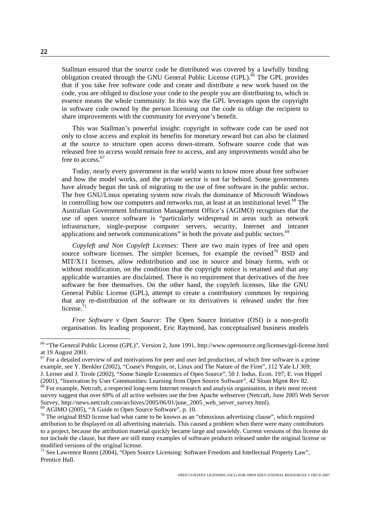Stallman ensured that the source code he distributed was covered by a lawfully binding obligation created through the GNU General Public License (GPL).<sup>66</sup> The GPL provides that if you take free software code and create and distribute a new work based on the code, you are obliged to disclose your code to the people you are distributing to, which in essence means the whole community. In this way the GPL leverages upon the copyright in software code owned by the person licensing out the code to oblige the recipient to share improvements with the community for everyone's benefit.

This was Stallman's powerful insight: copyright in software code can be used not only to close access and exploit its benefits for monetary reward but can also be claimed at the source to structure open access down-stream. Software source code that was released free to access would remain free to access, and any improvements would also be free to access.<sup>[67](#page-21-1)</sup>

Today, nearly every government in the world wants to know more about free software and how the model works, and the private sector is not far behind. Some governments have already begun the task of migrating to the use of free software in the public sector. The free GNU/Linux operating system now rivals the dominance of Microsoft Windows in controlling how our computers and networks run, at least at an institutional level. $^{68}$  The Australian Government Information Management Office's (AGIMO) recognises that the use of open source software is "particularly widespread in areas such as network infrastructure, single-purpose computer servers, security, Internet and intranet applications and network communications" in both the private and public sectors.<sup>69</sup>

*Copyleft and Non Copyleft Licenses:* There are two main types of free and open source software licenses. The simpler licenses, for example the revised<sup>70</sup> BSD and MIT/X11 licenses, allow redistribution and use in source and binary forms, with or without modification, on the condition that the copyright notice is retained and that any applicable warranties are disclaimed. There is no requirement that derivatives of the free software be free themselves. On the other hand, the copyleft licenses, like the GNU General Public License (GPL), attempt to create a contributory commons by requiring that any re-distribution of the software or its derivatives is released under the free license. $71$ 

*Free Software v Open Source:* The Open Source Initiative (OSI) is a non-profit organisation. Its leading proponent, Eric Raymond, has conceptualised business models

<span id="page-21-3"></span>

<span id="page-21-0"></span> <sup>66 &</sup>quot;The General Public License (GPL)", Version 2, June 1991, http://www.opensource.org/licenses/gpl-license.html

<span id="page-21-1"></span>at 19 August 2001.<br><sup>67</sup> For a detailed overview of and motivations for peer and user led production, of which free software is a prime example, see Y. Benkler (2002), "Coase's Penguin, or, Linux and The Nature of the Firm", 112 Yale LJ 369; J. Lerner and J. Tirole (2002), "Some Simple Economics of Open Source", 50 J. Indus. Econ. 197; E. von Hippel

<span id="page-21-2"></span><sup>(2001), &</sup>quot;Innovation by User Communities: Learning from Open Source Software", 42 Sloan Mgmt Rev 82. <sup>68</sup> For example, Netcraft, a respected long-term Internet research and analysis organisation, in their most recent survey suggest that over 69% of all active websites use the free Apache webserver (Netcraft, June 2005 Web Server Survey, http://news.netcraft.com/archives/2005/06/01/june\_2005\_web\_server\_survey.html).<br><sup>69</sup> AGIMO (2005), "A Guide to Open Source Software", p. 10.<br><sup>70</sup> The original BSD license had what came to be known as an "obnoxious

<span id="page-21-4"></span>attribution to be displayed on all advertising materials. This caused a problem when there were many contributors to a project, because the attribution material quickly became large and unwieldy. Current versions of this license do not include the clause, but there are still many examples of software products released under the original license or modified versions of the original license.<br><sup>71</sup> See Lawrence Rosen (2004), "Open Source Licensing: Software Freedom and Intellectual Property Law",

<span id="page-21-5"></span>Prentice Hall.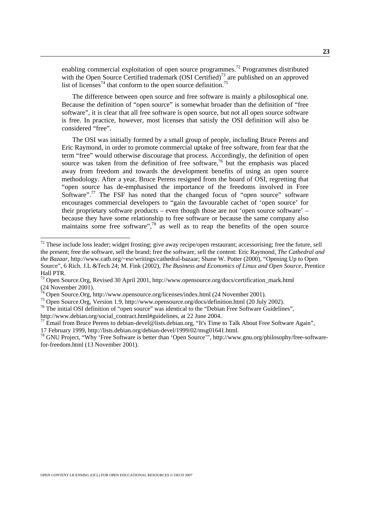enabling commercial exploitation of open source programmes[.72](#page-22-0) Programmes distributed with the Open Source Certified trademark  $(OSI$  Certified)<sup>73</sup> are published on an approved list of licenses<sup>74</sup> that conform to the open source definition.<sup>75</sup>

The difference between open source and free software is mainly a philosophical one. Because the definition of "open source" is somewhat broader than the definition of "free software", it is clear that all free software is open source, but not all open source software is free. In practice, however, most licenses that satisfy the OSI definition will also be considered "free".

The OSI was initially formed by a small group of people, including Bruce Perens and Eric Raymond, in order to promote commercial uptake of free software, from fear that the term "free" would otherwise discourage that process. Accordingly, the definition of open source was taken from the definition of free software,<sup>76</sup> but the emphasis was placed away from freedom and towards the development benefits of using an open source methodology. After a year, Bruce Perens resigned from the board of OSI, regretting that "open source has de-emphasised the importance of the freedoms involved in Free Software".<sup>77</sup> The FSF has noted that the changed focus of "open source" software encourages commercial developers to "gain the favourable cachet of 'open source' for their proprietary software products – even though those are not 'open source software' – because they have some relationship to free software or because the same company also maintains some free software", $^{78}$  as well as to reap the benefits of the open source

<span id="page-22-0"></span> $72$  These include loss leader; widget frosting; give away recipe/open restaurant; accessorising; free the future, sell the present; free the software, sell the brand; free the software, sell the content: Eric Raymond, *The Cathedral and the Bazaar*, http://www.catb.org/~esr/writings/cathedral-bazaar; Shane W. Potter (2000), "Opening Up to Open Source", 6 Rich. J.L &Tech 24; M. Fink (2002), *The Business and Economics of Linux and Open Source*, Prentice Hall PTR.

<span id="page-22-1"></span><sup>&</sup>lt;sup>73</sup> Open Source.Org, Revised 30 April 2001, http://www.opensource.org/docs/certification mark.html [\(24](http://www.opensource.org/docs/certification_mark.html (24) November 2001).<br><sup>74</sup> Open Source.Org, http://www.opensource.org/licenses/index.html (24 November 2001).<br><sup>75</sup> Open Source.Org, Version 1.9, http://www.opensource.org/docs/definition.html (20 July 2002).<br><sup>75</sup> The initia

<span id="page-22-2"></span>

<span id="page-22-3"></span>

<span id="page-22-4"></span>

<span id="page-22-5"></span> $\frac{1}{27}$  Email from Bruce Perens to debian-devel@lists.debian.org, "It's Time to Talk About Free Software Again",

<span id="page-22-6"></span>

<sup>17</sup> February 1999, [http://lists.debian.org/debian-devel/1999/02/msg01641.html.](http://lists.debian.org/debian-devel/1999/02/msg01641.html)<br><sup>78</sup> GNU Project, "Why 'Free Software is better than 'Open Source'", http://www.gnu.org/philosophy/free-softwarefor-freedom.html (13 November 2001).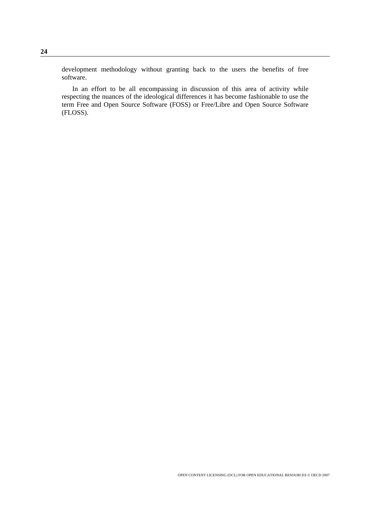development methodology without granting back to the users the benefits of free software.

In an effort to be all encompassing in discussion of this area of activity while respecting the nuances of the ideological differences it has become fashionable to use the term Free and Open Source Software (FOSS) or Free/Libre and Open Source Software (FLOSS).